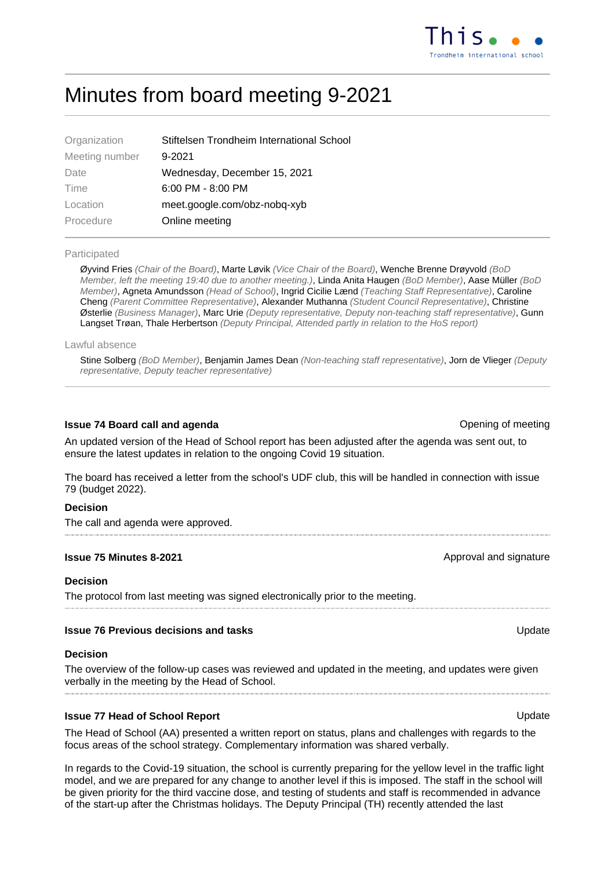# Minutes from board meeting 9-2021

| Stiftelsen Trondheim International School |
|-------------------------------------------|
| $9 - 2021$                                |
| Wednesday, December 15, 2021              |
| $6:00$ PM - $8:00$ PM                     |
| meet.google.com/obz-nobq-xyb              |
| Online meeting                            |
|                                           |

# Participated

Øyvind Fries (Chair of the Board), Marte Løvik (Vice Chair of the Board), Wenche Brenne Drøyvold (BoD Member, left the meeting 19:40 due to another meeting.), Linda Anita Haugen (BoD Member), Aase Müller (BoD Member), Agneta Amundsson (Head of School), Ingrid Cicilie Lænd (Teaching Staff Representative), Caroline Cheng (Parent Committee Representative), Alexander Muthanna (Student Council Representative), Christine Østerlie (Business Manager), Marc Urie (Deputy representative, Deputy non-teaching staff representative), Gunn Langset Trøan, Thale Herbertson (Deputy Principal, Attended partly in relation to the HoS report)

Lawful absence

Stine Solberg (BoD Member), Benjamin James Dean (Non-teaching staff representative), Jorn de Vlieger (Deputy representative, Deputy teacher representative)

# **Issue 74 Board call and agenda Contract Contract Contract Contract Contract Contract Contract Contract Contract Contract Contract Contract Contract Contract Contract Contract Contract Contract Contract Contract Contract**

An updated version of the Head of School report has been adjusted after the agenda was sent out, to ensure the latest updates in relation to the ongoing Covid 19 situation.

The board has received a letter from the school's UDF club, this will be handled in connection with issue 79 (budget 2022).

# **Decision**

The call and agenda were approved.

# **Issue 75 Minutes 8-2021 Approval and signature Approval and signature Approval and signature**

#### **Decision**

The protocol from last meeting was signed electronically prior to the meeting.

# **Issue 76 Previous decisions and tasks No. 2008 12:00 No. 2008 12:00 No. 2008 12:00 No. 2008 12:00 No. 2008 12:00 No. 2008 12:00 No. 2008 12:00 No. 2008 12:00 No. 2008 12:00 No. 2008 12:00 No. 2008 12:00 No. 2008 12:00 N**

#### **Decision**

The overview of the follow-up cases was reviewed and updated in the meeting, and updates were given verbally in the meeting by the Head of School.

# **Issue 77 Head of School Report ISSUE 27 Head of School Report**

The Head of School (AA) presented a written report on status, plans and challenges with regards to the focus areas of the school strategy. Complementary information was shared verbally.

In regards to the Covid-19 situation, the school is currently preparing for the yellow level in the traffic light model, and we are prepared for any change to another level if this is imposed. The staff in the school will be given priority for the third vaccine dose, and testing of students and staff is recommended in advance of the start-up after the Christmas holidays. The Deputy Principal (TH) recently attended the last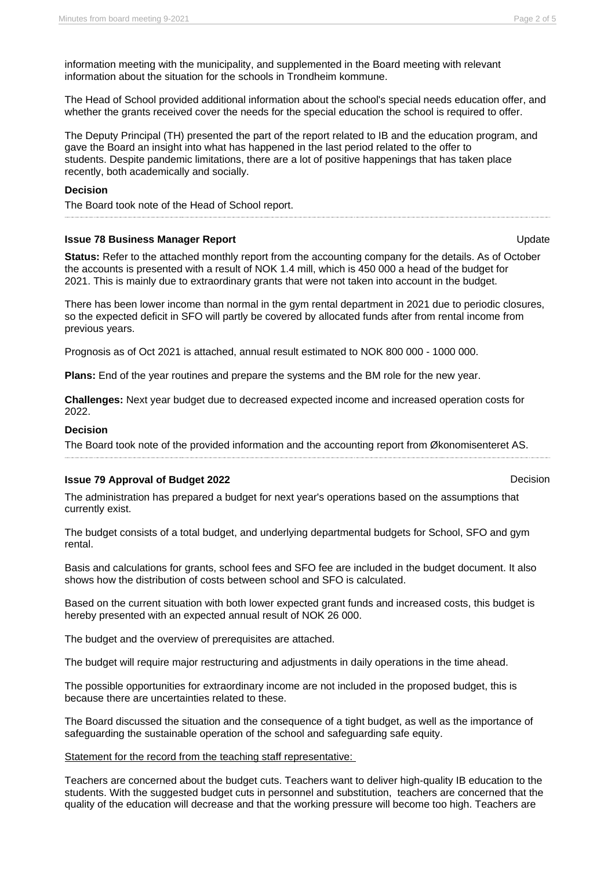information meeting with the municipality, and supplemented in the Board meeting with relevant information about the situation for the schools in Trondheim kommune.

The Head of School provided additional information about the school's special needs education offer, and whether the grants received cover the needs for the special education the school is required to offer.

The Deputy Principal (TH) presented the part of the report related to IB and the education program, and gave the Board an insight into what has happened in the last period related to the offer to students. Despite pandemic limitations, there are a lot of positive happenings that has taken place recently, both academically and socially.

#### **Decision**

The Board took note of the Head of School report.

#### **Issue 78 Business Manager Report** Communication Communication Communication Communication Communication Communication Communication Communication Communication Communication Communication Communication Communication Commu

**Status:** Refer to the attached monthly report from the accounting company for the details. As of October the accounts is presented with a result of NOK 1.4 mill, which is 450 000 a head of the budget for 2021. This is mainly due to extraordinary grants that were not taken into account in the budget.

There has been lower income than normal in the gym rental department in 2021 due to periodic closures, so the expected deficit in SFO will partly be covered by allocated funds after from rental income from previous years.

Prognosis as of Oct 2021 is attached, annual result estimated to NOK 800 000 - 1000 000.

**Plans:** End of the year routines and prepare the systems and the BM role for the new year.

**Challenges:** Next year budget due to decreased expected income and increased operation costs for 2022.

# **Decision**

The Board took note of the provided information and the accounting report from Økonomisenteret AS.

# **Issue 79 Approval of Budget 2022** Decision

The administration has prepared a budget for next year's operations based on the assumptions that currently exist.

The budget consists of a total budget, and underlying departmental budgets for School, SFO and gym rental.

Basis and calculations for grants, school fees and SFO fee are included in the budget document. It also shows how the distribution of costs between school and SFO is calculated.

Based on the current situation with both lower expected grant funds and increased costs, this budget is hereby presented with an expected annual result of NOK 26 000.

The budget and the overview of prerequisites are attached.

The budget will require major restructuring and adjustments in daily operations in the time ahead.

The possible opportunities for extraordinary income are not included in the proposed budget, this is because there are uncertainties related to these.

The Board discussed the situation and the consequence of a tight budget, as well as the importance of safeguarding the sustainable operation of the school and safeguarding safe equity.

#### Statement for the record from the teaching staff representative:

Teachers are concerned about the budget cuts. Teachers want to deliver high-quality IB education to the students. With the suggested budget cuts in personnel and substitution, teachers are concerned that the quality of the education will decrease and that the working pressure will become too high. Teachers are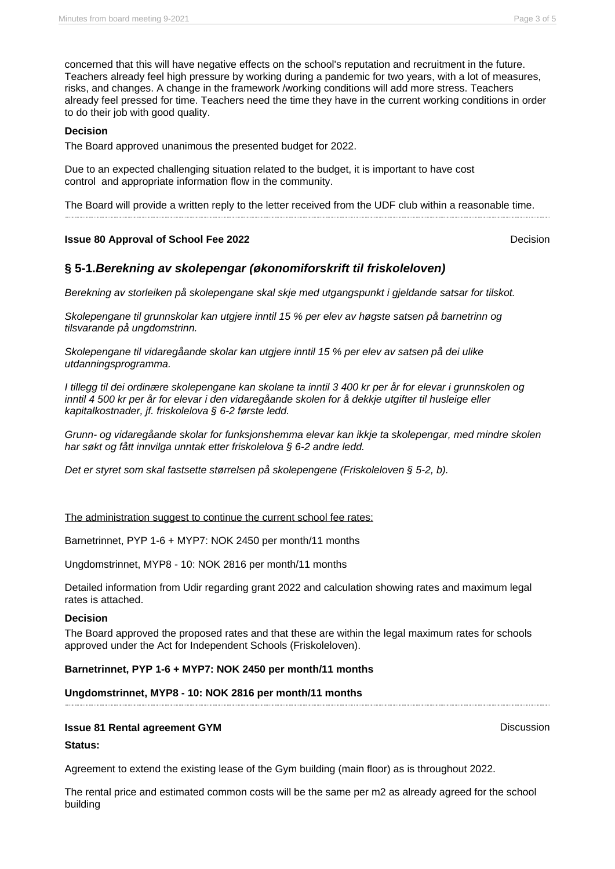concerned that this will have negative effects on the school's reputation and recruitment in the future. Teachers already feel high pressure by working during a pandemic for two years, with a lot of measures, risks, and changes. A change in the framework /working conditions will add more stress. Teachers already feel pressed for time. Teachers need the time they have in the current working conditions in order to do their job with good quality.

# **Decision**

The Board approved unanimous the presented budget for 2022.

Due to an expected challenging situation related to the budget, it is important to have cost control and appropriate information flow in the community.

The Board will provide a written reply to the letter received from the UDF club within a reasonable time.

#### **Issue 80 Approval of School Fee 2022** Decision

# **§ 5-1.Berekning av skolepengar (økonomiforskrift til friskoleloven)**

Berekning av storleiken på skolepengane skal skje med utgangspunkt i gjeldande satsar for tilskot.

Skolepengane til grunnskolar kan utgjere inntil 15 % per elev av høgste satsen på barnetrinn og tilsvarande på ungdomstrinn.

Skolepengane til vidaregåande skolar kan utgjere inntil 15 % per elev av satsen på dei ulike utdanningsprogramma.

I tillegg til dei ordinære skolepengane kan skolane ta inntil 3 400 kr per år for elevar i grunnskolen og inntil 4 500 kr per år for elevar i den vidaregåande skolen for å dekkje utgifter til husleige eller kapitalkostnader, jf. friskolelova § 6-2 første ledd.

Grunn- og vidaregåande skolar for funksjonshemma elevar kan ikkje ta skolepengar, med mindre skolen har søkt og fått innvilga unntak etter friskolelova § 6-2 andre ledd.

Det er styret som skal fastsette størrelsen på skolepengene (Friskoleloven § 5-2, b).

#### The administration suggest to continue the current school fee rates:

Barnetrinnet, PYP 1-6 + MYP7: NOK 2450 per month/11 months

Ungdomstrinnet, MYP8 - 10: NOK 2816 per month/11 months

Detailed information from Udir regarding grant 2022 and calculation showing rates and maximum legal rates is attached.

# **Decision**

The Board approved the proposed rates and that these are within the legal maximum rates for schools approved under the Act for Independent Schools (Friskoleloven).

#### **Barnetrinnet, PYP 1-6 + MYP7: NOK 2450 per month/11 months**

#### **Ungdomstrinnet, MYP8 - 10: NOK 2816 per month/11 months**

#### **Issue 81 Rental agreement GYM** Discussion

#### **Status:**

Agreement to extend the existing lease of the Gym building (main floor) as is throughout 2022.

The rental price and estimated common costs will be the same per m2 as already agreed for the school building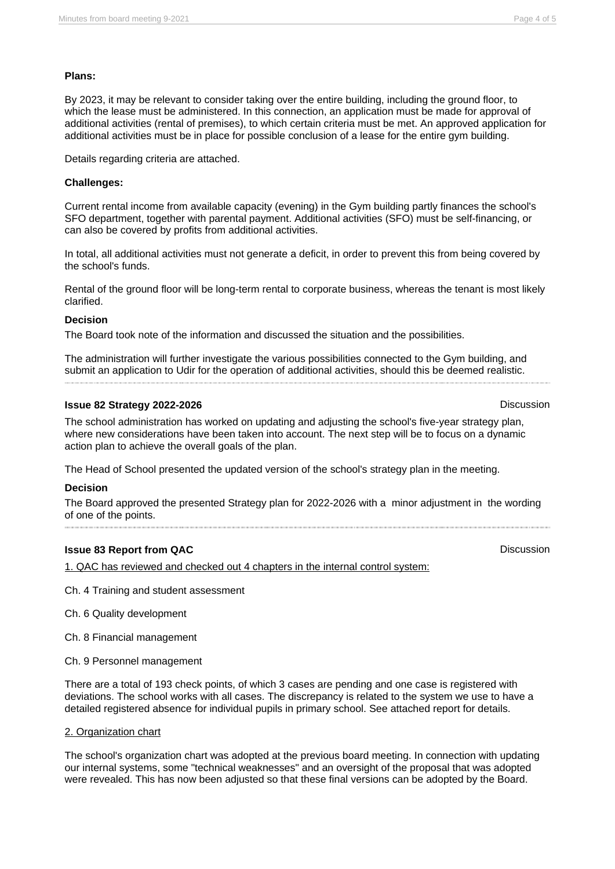# **Plans:**

By 2023, it may be relevant to consider taking over the entire building, including the ground floor, to which the lease must be administered. In this connection, an application must be made for approval of additional activities (rental of premises), to which certain criteria must be met. An approved application for additional activities must be in place for possible conclusion of a lease for the entire gym building.

Details regarding criteria are attached.

# **Challenges:**

Current rental income from available capacity (evening) in the Gym building partly finances the school's SFO department, together with parental payment. Additional activities (SFO) must be self-financing, or can also be covered by profits from additional activities.

In total, all additional activities must not generate a deficit, in order to prevent this from being covered by the school's funds.

Rental of the ground floor will be long-term rental to corporate business, whereas the tenant is most likely clarified.

# **Decision**

The Board took note of the information and discussed the situation and the possibilities.

The administration will further investigate the various possibilities connected to the Gym building, and submit an application to Udir for the operation of additional activities, should this be deemed realistic.

# **Issue 82 Strategy 2022-2026** Discussion

The school administration has worked on updating and adjusting the school's five-year strategy plan, where new considerations have been taken into account. The next step will be to focus on a dynamic action plan to achieve the overall goals of the plan.

The Head of School presented the updated version of the school's strategy plan in the meeting.

# **Decision**

The Board approved the presented Strategy plan for 2022-2026 with a minor adjustment in the wording of one of the points.

# **Issue 83 Report from QAC Discussion**

1. QAC has reviewed and checked out 4 chapters in the internal control system:

Ch. 4 Training and student assessment

Ch. 6 Quality development

Ch. 8 Financial management

Ch. 9 Personnel management

There are a total of 193 check points, of which 3 cases are pending and one case is registered with deviations. The school works with all cases. The discrepancy is related to the system we use to have a detailed registered absence for individual pupils in primary school. See attached report for details.

# 2. Organization chart

The school's organization chart was adopted at the previous board meeting. In connection with updating our internal systems, some "technical weaknesses" and an oversight of the proposal that was adopted were revealed. This has now been adjusted so that these final versions can be adopted by the Board.